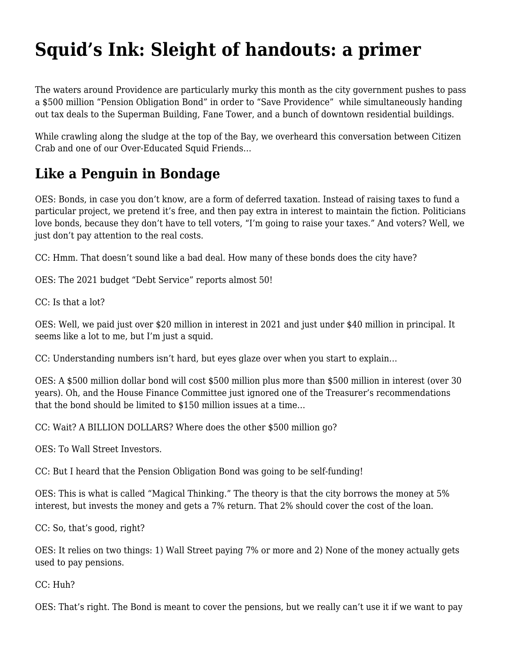## **[Squid's Ink: Sleight of handouts: a primer](https://motifri.com/sleight-of-handouts/)**

The waters around Providence are particularly murky this month as the city government pushes to pass a \$500 million "Pension Obligation Bond" in order to "Save Providence" while simultaneously handing out tax deals to the Superman Building, Fane Tower, and a bunch of downtown residential buildings.

While crawling along the sludge at the top of the Bay, we overheard this conversation between Citizen Crab and one of our Over-Educated Squid Friends…

## **Like a Penguin in Bondage**

OES: Bonds, in case you don't know, are a form of deferred taxation. Instead of raising taxes to fund a particular project, we pretend it's free, and then pay extra in interest to maintain the fiction. Politicians love bonds, because they don't have to tell voters, "I'm going to raise your taxes." And voters? Well, we just don't pay attention to the real costs.

CC: Hmm. That doesn't sound like a bad deal. How many of these bonds does the city have?

OES: The 2021 budget "[Debt Service"](https://www.providenceri.gov/wp-content/uploads/2021/04/0000-FINAL-FY22-Proposed-Budget-04.28.21.pdf) reports almost 50!

CC: Is that a lot?

OES: Well, we paid just over \$20 million in interest in 2021 and just under \$40 million in principal. It seems like a lot to me, but I'm just a squid.

CC: Understanding numbers isn't hard, but eyes glaze over when you start to explain…

OES: A \$500 million dollar bond will cost \$500 million plus more than \$500 million in interest (over 30 years). Oh, and the House Finance Committee just ignored one of the Treasurer's recommendations that the bond should be limited to \$150 million issues at a time…

CC: Wait? A BILLION DOLLARS? Where does the other \$500 million go?

OES: To Wall Street Investors.

CC: But I heard that the Pension Obligation Bond was going to be self-funding!

OES: This is what is called "Magical Thinking." The theory is that the city borrows the money at 5% interest, but invests the money and gets a 7% return. That 2% should cover the cost of the loan.

CC: So, that's good, right?

OES: It relies on two things: 1) Wall Street paying 7% or more and 2) None of the money actually gets used to pay pensions.

CC: Huh?

OES: That's right. The Bond is meant to cover the pensions, but we really can't use it if we want to pay